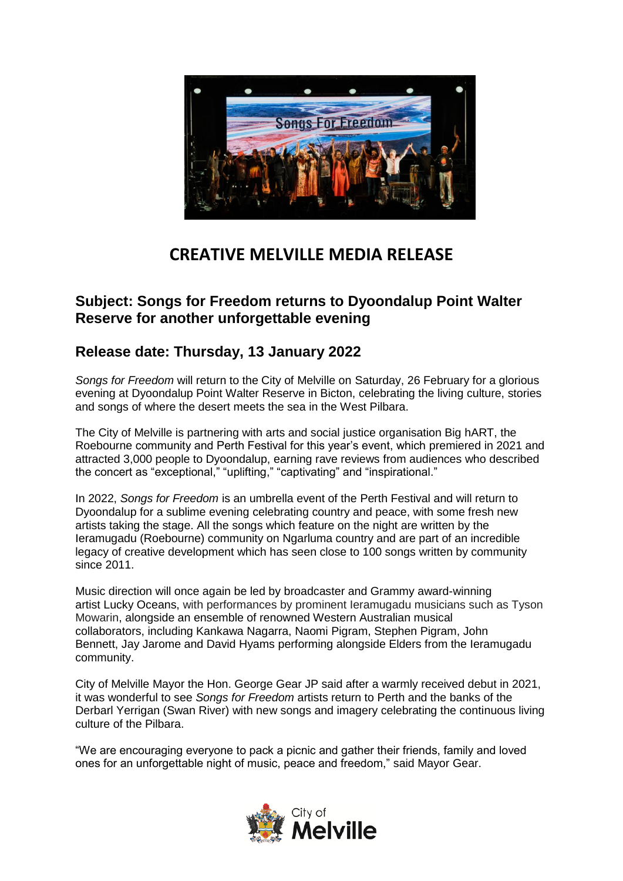

## **CREATIVE MELVILLE MEDIA RELEASE**

## **Subject: Songs for Freedom returns to Dyoondalup Point Walter Reserve for another unforgettable evening**

## **Release date: Thursday, 13 January 2022**

*Songs for Freedom* will return to the City of Melville on Saturday, 26 February for a glorious evening at Dyoondalup Point Walter Reserve in Bicton, celebrating the living culture, stories and songs of where the desert meets the sea in the West Pilbara.

The City of Melville is partnering with arts and social justice organisation Big hART, the Roebourne community and Perth Festival for this year's event, which premiered in 2021 and attracted 3,000 people to Dyoondalup, earning rave reviews from audiences who described the concert as "exceptional," "uplifting," "captivating" and "inspirational."

In 2022, *Songs for Freedom* is an umbrella event of the Perth Festival and will return to Dyoondalup for a sublime evening celebrating country and peace, with some fresh new artists taking the stage. All the songs which feature on the night are written by the Ieramugadu (Roebourne) community on Ngarluma country and are part of an incredible legacy of creative development which has seen close to 100 songs written by community since 2011.

Music direction will once again be led by broadcaster and Grammy award-winning artist Lucky Oceans, with performances by prominent Ieramugadu musicians such as Tyson Mowarin, alongside an ensemble of renowned Western Australian musical collaborators, including Kankawa Nagarra, Naomi Pigram, Stephen Pigram, John Bennett, Jay Jarome and David Hyams performing alongside Elders from the Ieramugadu community.

City of Melville Mayor the Hon. George Gear JP said after a warmly received debut in 2021, it was wonderful to see *Songs for Freedom* artists return to Perth and the banks of the Derbarl Yerrigan (Swan River) with new songs and imagery celebrating the continuous living culture of the Pilbara.

"We are encouraging everyone to pack a picnic and gather their friends, family and loved ones for an unforgettable night of music, peace and freedom," said Mayor Gear.

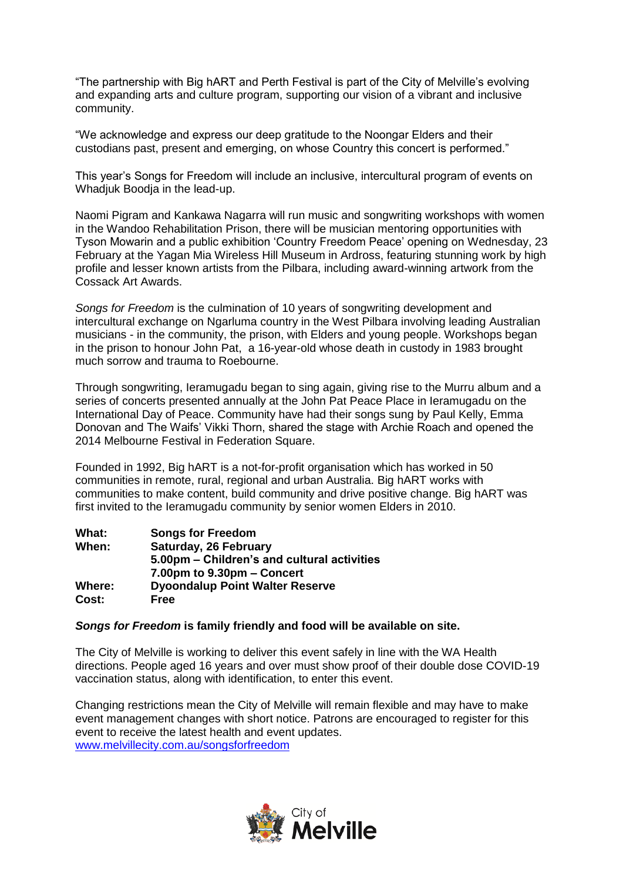"The partnership with Big hART and Perth Festival is part of the City of Melville's evolving and expanding arts and culture program, supporting our vision of a vibrant and inclusive community.

"We acknowledge and express our deep gratitude to the Noongar Elders and their custodians past, present and emerging, on whose Country this concert is performed."

This year's Songs for Freedom will include an inclusive, intercultural program of events on Whadjuk Boodja in the lead-up.

Naomi Pigram and Kankawa Nagarra will run music and songwriting workshops with women in the Wandoo Rehabilitation Prison, there will be musician mentoring opportunities with Tyson Mowarin and a public exhibition 'Country Freedom Peace' opening on Wednesday, 23 February at the Yagan Mia Wireless Hill Museum in Ardross, featuring stunning work by high profile and lesser known artists from the Pilbara, including award-winning artwork from the Cossack Art Awards.

*Songs for Freedom* is the culmination of 10 years of songwriting development and intercultural exchange on Ngarluma country in the West Pilbara involving leading Australian musicians - in the community, the prison, with Elders and young people. Workshops began in the prison to honour John Pat, a 16-year-old whose death in custody in 1983 brought much sorrow and trauma to Roebourne.

Through songwriting, Ieramugadu began to sing again, giving rise to the Murru album and a series of concerts presented annually at the John Pat Peace Place in Ieramugadu on the International Day of Peace. Community have had their songs sung by Paul Kelly, Emma Donovan and The Waifs' Vikki Thorn, shared the stage with Archie Roach and opened the 2014 Melbourne Festival in Federation Square.

Founded in 1992, Big hART is a not-for-profit organisation which has worked in 50 communities in remote, rural, regional and urban Australia. Big hART works with communities to make content, build community and drive positive change. Big hART was first invited to the Ieramugadu community by senior women Elders in 2010.

| What:  | <b>Songs for Freedom</b>                    |
|--------|---------------------------------------------|
| When:  | Saturday, 26 February                       |
|        | 5.00pm - Children's and cultural activities |
|        | 7.00pm to 9.30pm – Concert                  |
| Where: | <b>Dyoondalup Point Walter Reserve</b>      |
| Cost:  | <b>Free</b>                                 |

## *Songs for Freedom* **is family friendly and food will be available on site.**

The City of Melville is working to deliver this event safely in line with the WA Health directions. People aged 16 years and over must show proof of their double dose COVID-19 vaccination status, along with identification, to enter this event.

Changing restrictions mean the City of Melville will remain flexible and may have to make event management changes with short notice. Patrons are encouraged to register for this event to receive the latest health and event updates. [www.melvillecity.com.au/songsforfreedom](http://www.melvillecity.com.au/songsforfreedom)